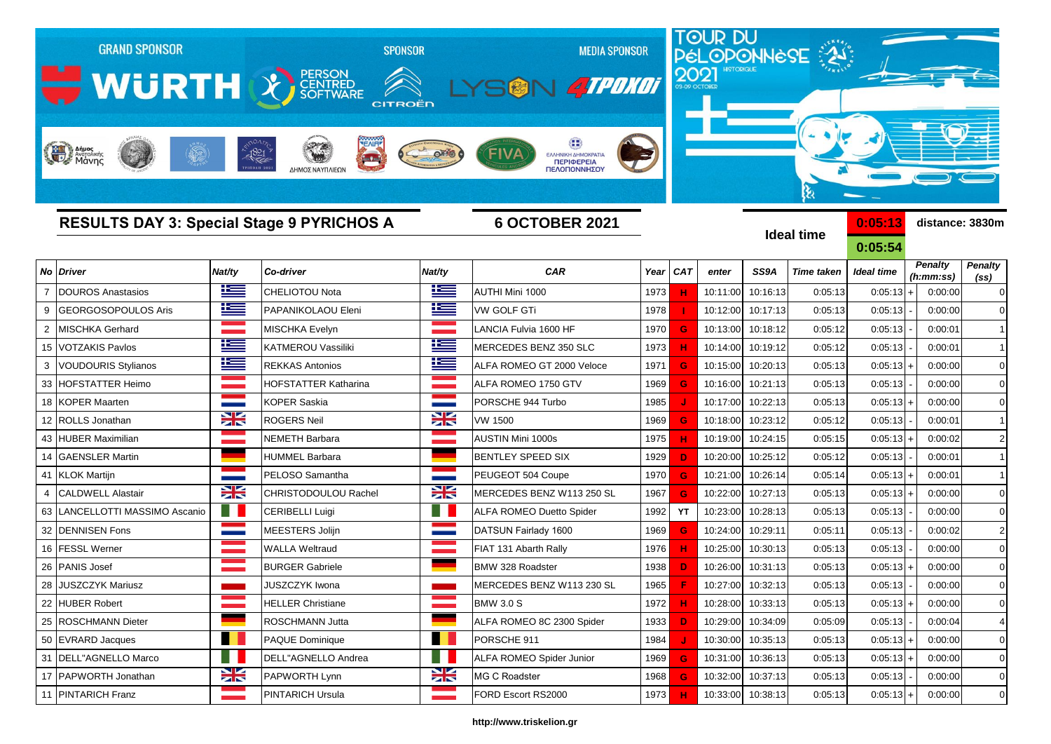|                | <b>GRAND SPONSOR</b>                                                      |               |                                             | <b>SPONSOR</b> | <b>MEDIA SPONSOR</b>                              |      |            |          |                   | <b>TOUR DU<br/>PÉLOPONNÈSE</b> |                    |                             |                                     |  |  |
|----------------|---------------------------------------------------------------------------|---------------|---------------------------------------------|----------------|---------------------------------------------------|------|------------|----------|-------------------|--------------------------------|--------------------|-----------------------------|-------------------------------------|--|--|
|                | WURTH & FERSON                                                            |               |                                             | CITROËD        | <b>ATPONOT</b>                                    |      |            |          |                   |                                |                    |                             |                                     |  |  |
|                | Anipos                                                                    | 1821          | $\overline{\phantom{a}}$<br>ΔΗΜΟΣ ΝΑΥΠΛΙΕΩΝ |                | ΕΛΛΗΝΙΚΗ ΔΗΜΟΚΡΑΤΙΑ<br>ΠΕΡΙΦΕΡΕΙΑ<br>ΠΕΛΟΠΟΝΝΗΣΟΥ |      |            |          |                   | ક્ષ                            |                    |                             |                                     |  |  |
|                | <b>RESULTS DAY 3: Special Stage 9 PYRICHOS A</b><br><b>6 OCTOBER 2021</b> |               |                                             |                |                                                   |      |            |          |                   | <b>Ideal time</b>              | 0:05:13<br>0:05:54 | distance: 3830m             |                                     |  |  |
| No             | <b>Driver</b>                                                             | Nat/ty        | Co-driver                                   | Nat/ty         | <b>CAR</b>                                        | Year | <b>CAT</b> | enter    | SS9A              | <b>Time taken</b>              | Ideal time         | <b>Penalty</b><br>(h:mm:ss) | <b>Penalty</b><br>(s <sub>s</sub> ) |  |  |
|                | <b>DOUROS Anastasios</b>                                                  | $\frac{1}{2}$ | CHELIOTOU Nota                              | 些              | AUTHI Mini 1000                                   | 1973 |            | 10:11:00 | 10:16:13          | 0:05:13                        | 0:05:13            | 0:00:00                     | $\mathbf 0$                         |  |  |
| 9              | <b>GEORGOSOPOULOS Aris</b>                                                | 些             | PAPANIKOLAOU Eleni                          | 些              | VW GOLF GTi                                       | 1978 |            | 10:12:00 | 10:17:13          | 0:05:13                        | 0:05:13            | 0:00:00                     | $\overline{0}$                      |  |  |
| $\overline{2}$ | MISCHKA Gerhard                                                           |               | <b>MISCHKA Evelyn</b>                       |                | LANCIA Fulvia 1600 HF                             | 1970 | G          | 10:13:00 | 10:18:12          | 0:05:12                        | 0:05:13            | 0:00:01                     | $\mathbf{1}$                        |  |  |
| 15             | <b>VOTZAKIS Pavlos</b>                                                    | <u>k </u>     | KATMEROU Vassiliki                          | ١m             | MERCEDES BENZ 350 SLC                             | 1973 |            | 10:14:00 | 10:19:12          | 0:05:12                        | 0:05:13            | 0:00:01                     |                                     |  |  |
|                | <b>VOUDOURIS Stylianos</b>                                                | Ħ             | <b>REKKAS Antonios</b>                      | İ              | ALFA ROMEO GT 2000 Veloce                         | 1971 | G          | 10:15:00 | 10:20:13          | 0:05:13                        | 0:05:13            | 0:00:00                     | $\mathbf 0$                         |  |  |
| 33             | <b>HOFSTATTER Heimo</b>                                                   |               | HOFSTATTER Katharina                        |                | ALFA ROMEO 1750 GTV                               | 1969 | G          | 10:16:00 | 10:21:13          | 0:05:13                        | 0:05:13            | 0:00:00                     | $\overline{0}$                      |  |  |
| 18             | <b>KOPER Maarten</b>                                                      |               | <b>KOPER Saskia</b>                         |                | PORSCHE 944 Turbo                                 | 1985 |            | 10:17:00 | 10:22:13          | 0:05:13                        | 0:05:13            | 0:00:00                     | $\mathbf 0$                         |  |  |
|                | 12 ROLLS Jonathan                                                         | ∺             | <b>ROGERS Neil</b>                          | X              | VW 1500                                           | 1969 | G          | 10:18:00 | 10:23:12          | 0:05:12                        | 0:05:13            | 0:00:01                     |                                     |  |  |
| 43             | <b>HUBER Maximilian</b>                                                   |               | NEMETH Barbara                              |                | AUSTIN Mini 1000s                                 | 1975 | н          | 10:19:00 | 10:24:15          | 0:05:15                        | 0:05:13            | 0:00:02                     | $\overline{2}$                      |  |  |
| 14             | <b>GAENSLER Martin</b>                                                    |               | HUMMEL Barbara                              |                | <b>BENTLEY SPEED SIX</b>                          | 1929 | D          | 10:20:00 | 10:25:12          | 0:05:12                        | 0:05:13            | 0:00:01                     | $\mathbf{1}$                        |  |  |
| 41             | <b>KLOK Martijn</b>                                                       |               | PELOSO Samantha                             |                | PEUGEOT 504 Coupe                                 | 1970 | G          | 10:21:00 | 10:26:14          | 0:05:14                        | 0:05:13            | 0:00:01                     |                                     |  |  |
|                | <b>CALDWELL Alastair</b>                                                  | X             | CHRISTODOULOU Rachel                        | X              | MERCEDES BENZ W113 250 SL                         | 1967 | G.         | 10:22:00 | 10:27:13          | 0:05:13                        | 0:05:13            | 0:00:00                     | $\overline{0}$                      |  |  |
| 63             | LANCELLOTTI MASSIMO Ascanio                                               | . .           | CERIBELLI Luigi                             | ا ا            | <b>ALFA ROMEO Duetto Spider</b>                   | 1992 | YT         | 10:23:00 | 10:28:13          | 0:05:13                        | 0:05:13            | 0:00:00                     | 0                                   |  |  |
| 32             | <b>DENNISEN Fons</b>                                                      |               | MEESTERS Jolijn                             |                | DATSUN Fairlady 1600                              | 1969 | G          | 10:24:00 | 10:29:11          | 0:05:11                        | 0:05:13            | 0:00:02                     | $\overline{2}$                      |  |  |
| 16             | <b>FESSL Werner</b>                                                       |               | <b>WALLA Weltraud</b>                       |                | FIAT 131 Abarth Rally                             | 1976 | н.         | 10:25:00 | 10:30:13          | 0:05:13                        | 0:05:13            | 0:00:00                     | $\overline{0}$                      |  |  |
| 26             | <b>PANIS Josef</b>                                                        |               | <b>BURGER Gabriele</b>                      |                | <b>BMW 328 Roadster</b>                           | 1938 | D          | 10:26:00 | 10:31:13          | 0:05:13                        | $0:05:13 +$        | 0:00:00                     | $\overline{0}$                      |  |  |
|                | 28 JUSZCZYK Mariusz                                                       |               | JUSZCZYK Iwona                              |                | MERCEDES BENZ W113 230 SL                         | 1965 |            |          | 10:27:00 10:32:13 | 0:05:13                        | 0:05:13            | 0:00:00                     | $\mathbf 0$                         |  |  |
|                | 22 HUBER Robert                                                           |               | HELLER Christiane                           |                | <b>BMW 3.0 S</b>                                  | 1972 |            | 10:28:00 | 10:33:13          | 0:05:13                        | $0:05:13$ +        | 0:00:00                     | $\mathbf 0$                         |  |  |
|                | 25 ROSCHMANN Dieter                                                       |               | ROSCHMANN Jutta                             |                | ALFA ROMEO 8C 2300 Spider                         | 1933 | D          | 10:29:00 | 10:34:09          | 0:05:09                        | 0:05:13            | 0:00:04                     | $\overline{4}$                      |  |  |
|                | 50 EVRARD Jacques                                                         |               | <b>PAQUE Dominique</b>                      | . .            | PORSCHE 911                                       | 1984 |            | 10:30:00 | 10:35:13          | 0:05:13                        | $0:05:13$ +        | 0:00:00                     | $\mathbf 0$                         |  |  |
| 31             | DELL"AGNELLO Marco                                                        | - 1           | DELL"AGNELLO Andrea                         | - 1            | ALFA ROMEO Spider Junior                          | 1969 | G          | 10:31:00 | 10:36:13          | 0:05:13                        | 0:05:13            | 0:00:00                     | $\mathbf 0$                         |  |  |
|                | 17 PAPWORTH Jonathan                                                      | X             | PAPWORTH Lynn                               | X              | MG C Roadster                                     | 1968 | G          | 10:32:00 | 10:37:13          | 0:05:13                        | 0:05:13            | 0:00:00                     | $\mathbf 0$                         |  |  |

## **http://www.triskelion.gr**

11 |PINTARICH Franz |PINTARICH Ursula 1973 **H** 10:33:00 10:38:13 0:05:13 0:05:13 | + | 0:00:00 | 0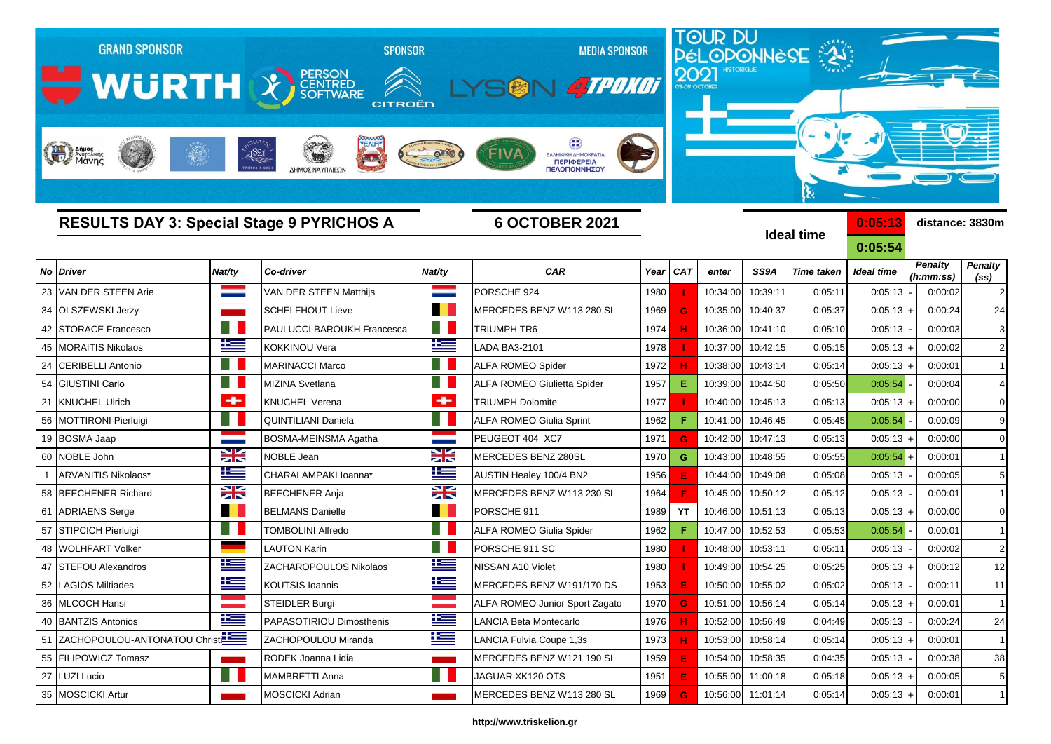|    | <b>GRAND SPONSOR</b><br><b>WURTH &amp; FERSON</b><br>Anjues<br>Mayoniking |                            | <b>SPONSOR</b><br><b>CITROËN</b><br>$-1821$<br>$\frac{1}{2}$<br>ΔΗΜΟΣ ΝΑΥΠΛΙΕΩΝ |                            | <b>MEDIA SPONSOR</b><br><b>ATPONOT</b><br>ΕΛΛΗΝΙΚΗ ΔΗΜΟΚΡΑΤΙΑ<br><b>ПЕРІФЕРЕІА</b><br>ΠΕΛΟΠΟΝΝΗΣΟΥ |      | 2021       |          |                   | <b>TOUR DU<br/>PÉLOPONNESE</b><br>કે |                    |                             |                        |
|----|---------------------------------------------------------------------------|----------------------------|---------------------------------------------------------------------------------|----------------------------|----------------------------------------------------------------------------------------------------|------|------------|----------|-------------------|--------------------------------------|--------------------|-----------------------------|------------------------|
|    | <b>RESULTS DAY 3: Special Stage 9 PYRICHOS A</b>                          |                            |                                                                                 |                            | <b>6 OCTOBER 2021</b>                                                                              |      |            |          |                   | <b>Ideal time</b>                    | 0:05:13<br>0:05:54 |                             | distance: 3830m        |
| No | <b>Driver</b>                                                             | Nat/ty                     | Co-driver                                                                       | Nat/ty                     | <b>CAR</b>                                                                                         | Year | <b>CAT</b> | enter    | SS9A              | <b>Time taken</b>                    | <b>Ideal time</b>  | <b>Penalty</b><br>(h:mm:ss) | <b>Penalty</b>         |
| 23 | VAN DER STEEN Arie                                                        |                            | VAN DER STEEN Matthijs                                                          |                            | PORSCHE 924                                                                                        | 1980 |            | 10:34:00 | 10:39:11          | 0:05:11                              | 0:05:13            | 0:00:02                     | (ss)<br>$\overline{a}$ |
| 34 | <b>OLSZEWSKI Jerzy</b>                                                    |                            | <b>SCHELFHOUT Lieve</b>                                                         |                            | MERCEDES BENZ W113 280 SL                                                                          | 1969 | G          | 10:35:00 | 10:40:37          | 0:05:37                              | $0:05:13+$         | 0:00:24                     | 24                     |
| 42 | <b>STORACE Francesco</b>                                                  | H I                        | PAULUCCI BAROUKH Francesca                                                      |                            | TRIUMPH TR6                                                                                        | 1974 |            | 10:36:00 | 10:41:10          | 0:05:10                              | 0:05:13            | 0:00:03                     | 3                      |
| 45 | <b>MORAITIS Nikolaos</b>                                                  | $\frac{1}{2}$              | KOKKINOU Vera                                                                   | ħ                          | LADA BA3-2101                                                                                      | 1978 |            | 10:37:00 | 10:42:15          | 0:05:15                              | $0:05:13$ +        | 0:00:02                     | $\overline{c}$         |
| 24 | <b>CERIBELLI Antonio</b>                                                  | - 11                       | <b>MARINACCI Marco</b>                                                          |                            | ALFA ROMEO Spider                                                                                  | 1972 |            | 10:38:00 | 10:43:14          | 0:05:14                              | $0:05:13+$         | 0:00:01                     |                        |
| 54 | <b>GIUSTINI Carlo</b>                                                     | E N                        | MIZINA Svetlana                                                                 |                            | <b>ALFA ROMEO Giulietta Spider</b>                                                                 | 1957 | Е          | 10:39:00 | 10:44:50          | 0:05:50                              | 0:05:54            | 0:00:04                     |                        |
| 21 | <b>KNUCHEL Ulrich</b>                                                     | ÷                          | KNUCHEL Verena                                                                  | $\bullet$                  | <b>TRIUMPH Dolomite</b>                                                                            | 1977 |            | 10:40:00 | 10:45:13          | 0:05:13                              | $0:05:13+$         | 0:00:00                     |                        |
| 56 | <b>MOTTIRONI Pierluigi</b>                                                | E N                        | QUINTILIANI Daniela                                                             |                            | <b>ALFA ROMEO Giulia Sprint</b>                                                                    | 1962 | F          | 10:41:00 | 10:46:45          | 0:05:45                              | 0:05:54            | 0:00:09                     | 9                      |
| 19 | <b>BOSMA Jaap</b>                                                         |                            | BOSMA-MEINSMA Agatha                                                            | <b>State</b>               | PEUGEOT 404 XC7                                                                                    | 1971 | G          | 10:42:00 | 10:47:13          | 0:05:13                              | $0:05:13+$         | 0:00:00                     | $\overline{0}$         |
| 60 | NOBLE John                                                                | X                          | NOBLE Jean                                                                      | X                          | MERCEDES BENZ 280SL                                                                                | 1970 | G          | 10:43:00 | 10:48:55          | 0:05:55                              | 0:05:54            | 0:00:01                     |                        |
|    | ARVANITIS Nikolaos*                                                       | Ħ                          | CHARALAMPAKI Ioanna*                                                            | l                          | AUSTIN Healey 100/4 BN2                                                                            | 1956 | E          | 10:44:00 | 10:49:08          | 0:05:08                              | 0:05:13            | 0:00:05                     | 5                      |
| 58 | <b>BEECHENER Richard</b>                                                  | X                          | <b>BEECHENER Anja</b>                                                           | Ж                          | MERCEDES BENZ W113 230 SL                                                                          | 1964 |            | 10:45:00 | 10:50:12          | 0:05:12                              | 0:05:13            | 0:00:01                     |                        |
| 61 | <b>ADRIAENS Serge</b>                                                     | a pro                      | <b>BELMANS Danielle</b>                                                         | m                          | PORSCHE 911                                                                                        | 1989 | YT         | 10:46:00 | 10:51:13          | 0:05:13                              | $0:05:13+$         | 0:00:00                     | 0                      |
| 57 | <b>STIPCICH Pierluigi</b>                                                 |                            | <b>FOMBOLINI Alfredo</b>                                                        |                            | ALFA ROMEO Giulia Spider                                                                           | 1962 |            | 10:47:00 | 10:52:53          | 0:05:53                              | 0:05:54            | 0:00:01                     |                        |
| 48 | <b>WOLHFART Volker</b>                                                    |                            | <b>LAUTON Karin</b>                                                             |                            | PORSCHE 911 SC                                                                                     | 1980 |            | 10:48:00 | 10:53:11          | 0:05:11                              | 0:05:13            | 0:00:02                     | $\overline{a}$         |
| 47 | <b>STEFOU Alexandros</b>                                                  | ľ                          | ZACHAROPOULOS Nikolaos                                                          | ľ                          | NISSAN A10 Violet                                                                                  | 1980 |            | 10:49:00 | 10:54:25          | 0:05:25                              | $0:05:13+$         | 0:00:12                     | 12                     |
| 52 | <b>LAGIOS Miltiades</b>                                                   | ١m                         | KOUTSIS Ioannis                                                                 | 瑾                          | MERCEDES BENZ W191/170 DS                                                                          | 1953 |            | 10:50:00 | 10:55:02          | 0:05:02                              | 0:05:13            | 0:00:11                     | 11                     |
|    | 36 MLCOCH Hansi                                                           | <b>Contract Contract</b>   | <b>STEIDLER Burgi</b>                                                           | <b>Contract Contract</b>   | ALFA ROMEO Junior Sport Zagato                                                                     | 1970 | G          | 10:51:00 | 10:56:14          | 0:05:14                              | $0:05:13$ +        | 0:00:01                     | -1                     |
|    | 40 BANTZIS Antonios                                                       | ħ                          | PAPASOTIRIOU Dimosthenis                                                        | l                          | LANCIA Beta Montecarlo                                                                             | 1976 | н          | 10:52:00 | 10:56:49          | 0:04:49                              | 0:05:13            | 0:00:24                     | 24                     |
|    | 51 ZACHOPOULOU-ANTONATOU Christ                                           |                            | ZACHOPOULOU Miranda                                                             | 坚                          | LANCIA Fulvia Coupe 1,3s                                                                           | 1973 | н          | 10:53:00 | 10:58:14          | 0:05:14                              | $0:05:13 +$        | 0:00:01                     | $\mathbf{1}$           |
|    | 55 FILIPOWICZ Tomasz                                                      | $\mathcal{L}(\mathcal{A})$ | RODEK Joanna Lidia                                                              | $\mathcal{L}(\mathcal{A})$ | MERCEDES BENZ W121 190 SL                                                                          | 1959 | E          |          | 10:54:00 10:58:35 | 0:04:35                              | 0:05:13            | 0:00:38                     | 38                     |
|    | 27 LUZI Lucio                                                             | . .                        | <b>MAMBRETTI Anna</b>                                                           | a se                       | JAGUAR XK120 OTS                                                                                   | 1951 | Е          |          | 10:55:00 11:00:18 | 0:05:18                              | $0:05:13$ +        | 0:00:05                     | 5                      |
|    | 35 MOSCICKI Artur                                                         |                            | <b>MOSCICKI Adrian</b>                                                          |                            | MERCEDES BENZ W113 280 SL                                                                          | 1969 | G          |          | 10:56:00 11:01:14 | 0:05:14                              | $0:05:13 +$        | 0:00:01                     | $\overline{1}$         |

## **http://www.triskelion.gr**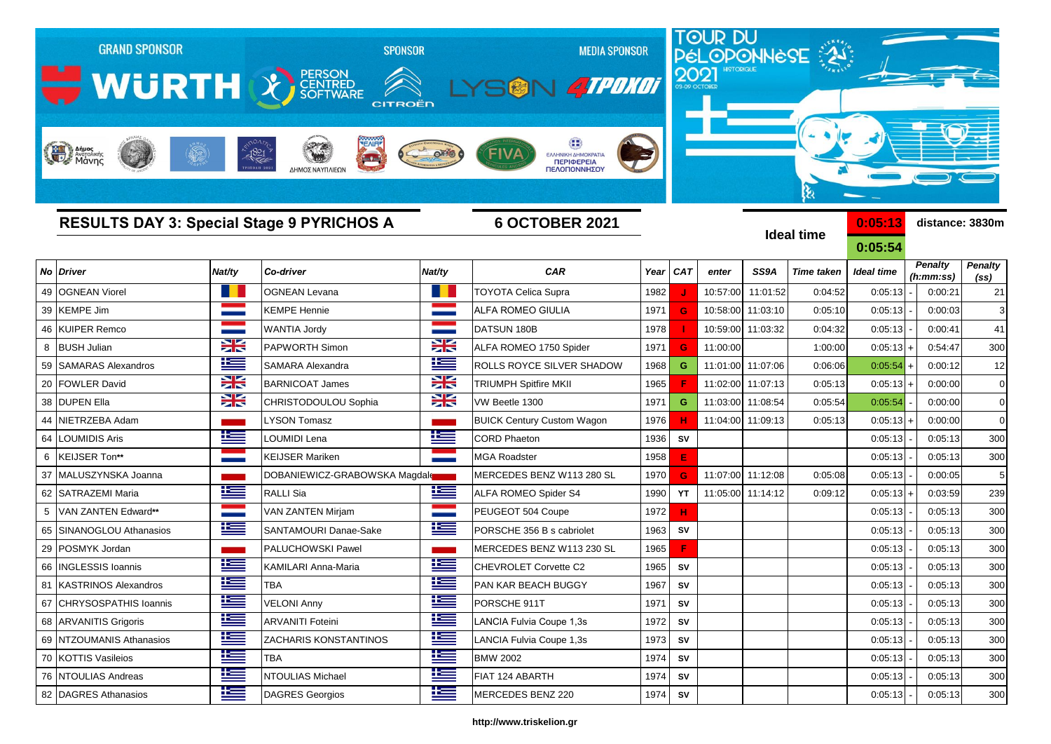|    | <b>GRAND SPONSOR</b><br>WURTH & FERSON<br><b>Radio Anjues</b> |             | <b>SPONSOR</b><br><b>CITROËN</b><br>$-1821$<br>ΔΗΜΟΣ ΝΑΥΠΛΙΕΩΝ |                   | <b>MEDIA SPONSOR</b><br><b>ATPONOT</b><br>ΕΛΛΗΝΙΚΗ ΔΗΜΟΚΡΑΤΙ<br><b>ПЕРІФЕРЕІА</b><br>ΠΕΛΟΠΟΝΝΗΣΟΥ |      | 2021       |                   |                   | <b>TOUR DU<br/>PÉLOPONNESE : 24</b> |                    |                             |                 |
|----|---------------------------------------------------------------|-------------|----------------------------------------------------------------|-------------------|---------------------------------------------------------------------------------------------------|------|------------|-------------------|-------------------|-------------------------------------|--------------------|-----------------------------|-----------------|
|    |                                                               |             | <b>RESULTS DAY 3: Special Stage 9 PYRICHOS A</b>               |                   | <b>6 OCTOBER 2021</b>                                                                             |      |            |                   |                   | <b>Ideal time</b>                   | 0:05:13<br>0:05:54 | distance: 3830m             |                 |
| No | <b>Driver</b>                                                 | Nat/ty      | Co-driver                                                      | Nat/ty            | <b>CAR</b>                                                                                        | Year | <b>CAT</b> | enter             | SS9A              | <b>Time taken</b>                   | <b>Ideal time</b>  | <b>Penalty</b><br>(h:mm:ss) | Penalty<br>(ss) |
| 49 | <b>OGNEAN Viorel</b>                                          |             | <b>OGNEAN Levana</b>                                           |                   | <b>TOYOTA Celica Supra</b>                                                                        | 1982 |            | 10:57:00          | 11:01:52          | 0:04:52                             | 0:05:13            | 0:00:21                     | 21              |
| 39 | <b>KEMPE Jim</b>                                              |             | <b>KEMPE Hennie</b>                                            |                   | ALFA ROMEO GIULIA                                                                                 | 1971 | G          | 10:58:00          | 11:03:10          | 0:05:10                             | 0:05:13            | 0:00:03                     | 3               |
| 46 | <b>KUIPER Remco</b>                                           |             | <b>WANTIA Jordy</b>                                            | <b>STATISTICS</b> | DATSUN 180B                                                                                       | 1978 |            |                   | 10:59:00 11:03:32 | 0:04:32                             | 0:05:13            | 0:00:41                     | 41              |
| 8  | <b>BUSH Julian</b>                                            | X           | <b>PAPWORTH Simon</b>                                          | X                 | ALFA ROMEO 1750 Spider                                                                            | 1971 | G          | 11:00:00          |                   | 1:00:00                             | $0:05:13$ +        | 0:54:47                     | 300             |
| 59 | <b>SAMARAS Alexandros</b>                                     | $\pm$       | SAMARA Alexandra                                               | Ħ                 | ROLLS ROYCE SILVER SHADOW                                                                         | 1968 | G          |                   | 11:01:00 11:07:06 | 0:06:06                             | 0:05:54            | 0:00:12                     | 12              |
| 20 | <b>FOWLER David</b>                                           | X           | <b>BARNICOAT James</b>                                         | ≍                 | <b>TRIUMPH Spitfire MKII</b>                                                                      | 1965 |            | 11:02:00          | 11:07:13          | 0:05:13                             | $0:05:13$ +        | 0:00:00                     | $\mathbf 0$     |
| 38 | <b>DUPEN Ella</b>                                             | X           | CHRISTODOULOU Sophia                                           | ≍                 | VW Beetle 1300                                                                                    | 1971 | G          | 11:03:00          | 11:08:54          | 0:05:54                             | 0:05:54            | 0:00:00                     | $\mathbf 0$     |
| 44 | NIETRZEBA Adam                                                |             | <b>LYSON Tomasz</b>                                            |                   | <b>BUICK Century Custom Wagon</b>                                                                 | 1976 | н          | 11:04:00          | 11:09:13          | 0:05:13                             | $0:05:13+$         | 0:00:00                     | $\mathbf 0$     |
| 64 | <b>LOUMIDIS Aris</b>                                          | ľ           | LOUMIDI Lena                                                   | <u>te</u>         | <b>CORD Phaeton</b>                                                                               | 1936 | SV         |                   |                   |                                     | 0:05:13            | 0:05:13                     | 300             |
| 6  | KEIJSER Ton**                                                 |             | <b>KEIJSER Mariken</b>                                         |                   | <b>MGA Roadster</b>                                                                               | 1958 | E          |                   |                   |                                     | 0:05:13            | 0:05:13                     | 300             |
| 37 | MALUSZYNSKA Joanna                                            |             | DOBANIEWICZ-GRABOWSKA Magdal                                   |                   | MERCEDES BENZ W113 280 SL                                                                         | 1970 | G          | 11:07:00 11:12:08 |                   | 0:05:08                             | 0:05:13            | 0:00:05                     | 5               |
| 62 | <b>SATRAZEMI Maria</b>                                        | M           | RALLI Sia                                                      | <u>ies</u>        | ALFA ROMEO Spider S4                                                                              | 1990 | YT         |                   | 11:05:00 11:14:12 | 0:09:12                             | $0:05:13 +$        | 0:03:59                     | 239             |
| 5  | VAN ZANTEN Edward**                                           |             | <b>VAN ZANTEN Mirjam</b>                                       |                   | PEUGEOT 504 Coupe                                                                                 | 1972 | н          |                   |                   |                                     | 0:05:13            | 0:05:13                     | 300             |
| 65 | SINANOGLOU Athanasios                                         | <u>k </u>   | SANTAMOURI Danae-Sake                                          | 些                 | PORSCHE 356 B s cabriolet                                                                         | 1963 | SV         |                   |                   |                                     | 0:05:13            | 0:05:13                     | 300             |
| 29 | POSMYK Jordan                                                 |             | PALUCHOWSKI Pawel                                              |                   | MERCEDES BENZ W113 230 SL                                                                         | 1965 | F          |                   |                   |                                     | 0:05:13            | 0:05:13                     | 300             |
| 66 | <b>INGLESSIS Ioannis</b>                                      | <u>ik –</u> | KAMILARI Anna-Maria                                            | <u>ies</u>        | CHEVROLET Corvette C2                                                                             | 1965 | SV         |                   |                   |                                     | 0:05:13            | 0:05:13                     | 300             |
|    | 81 KASTRINOS Alexandros                                       | æ           | <b>TBA</b>                                                     | Ï                 | PAN KAR BEACH BUGGY                                                                               | 1967 | ${\sf SV}$ |                   |                   |                                     | 0:05:13            | 0:05:13                     | 300             |
|    | 67 CHRYSOSPATHIS Ioannis                                      | ١æ          | <b>VELONI Anny</b>                                             | İ                 | PORSCHE 911T                                                                                      | 1971 | SV         |                   |                   |                                     | 0:05:13            | 0:05:13                     | 300             |
|    | 68 ARVANITIS Grigoris                                         | ٢           | <b>ARVANITI Foteini</b>                                        | Ë                 | LANCIA Fulvia Coupe 1,3s                                                                          | 1972 | <b>SV</b>  |                   |                   |                                     | 0:05:13            | 0:05:13                     | 300             |
|    | 69 NTZOUMANIS Athanasios                                      | ١Œ          | <b>ZACHARIS KONSTANTINOS</b>                                   | ١Œ                | LANCIA Fulvia Coupe 1,3s                                                                          | 1973 | ${\sf SV}$ |                   |                   |                                     | 0:05:13            | 0:05:13                     | 300             |
|    | 70 KOTTIS Vasileios                                           | İ           | <b>TBA</b>                                                     | ١Œ                | <b>BMW 2002</b>                                                                                   | 1974 | <b>SV</b>  |                   |                   |                                     | 0:05:13            | 0:05:13                     | 300             |
|    | 76 NTOULIAS Andreas                                           | $\equiv$    | <b>NTOULIAS Michael</b>                                        | ١æ                | FIAT 124 ABARTH                                                                                   | 1974 | <b>SV</b>  |                   |                   |                                     | 0:05:13            | 0:05:13                     | 300             |

## **http://www.triskelion.gr**

DAGRES Athanasios DAGRES Georgios MERCEDES BENZ 220 1974 **SV** 0:05:13 - 0:05:13 300